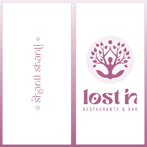A Shanii Shanij



# Iosth RESTAURANTE & BAR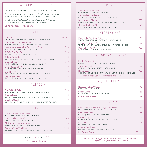# · WELCOME TO LOST IN ·

*Get carried away by the tranquility of our oasis and relax in good company.*

*Our menu takes you on a gastronomic journey through the different flavors of Lisbon, a city that thrives on the fusion of cultures that are both far and so close.*

*We offer some of the classics of international cuisine, fused with the best of Portuguese Tradition, rich in flavors, spices and sensations.*

*LOSE YOURSELF AT LOST IN…*

# · STARTERS ·

| <b>Couvert</b><br>SPICE BUTTER   ORGANIC OLIVE OIL   OLIVES   SELECTION OF HOMEMADE BREAD                    | 3E / PAX |
|--------------------------------------------------------------------------------------------------------------|----------|
| <b>Country Chicken Wings (2)</b><br>GOCHUJANG   KOREAN BBQ   LEMON   CORIANDER   CRISPY ONION   SESAME SEEDS | 7.70€    |
| (V)<br>Homemade Vegetable Samosas (%)<br>CURRY   MINT DAHI   TAMARIND CHUTNEY   FRESH HERBS                  | 7.5E     |
| A Brás Cod Egg Roll<br>BLACK OLIVES   ORANGE AND CHILLY CHUTNEY   PARSLEY                                    | 8.2E     |
| <b>Crispy Cuttlefish</b><br>AZORES CHEESE EMULSION   CELERY, POTATO AND APPLE SALAD   AVOCADO   WALNUTS      | 9.5E     |
| Quinoa Poke<br>TUNA   PONZU   SAFFRON   FRESH HERBS   AVOCADO   CASHEW   EDAMAME                             | 9.5E     |
| Goan Sorpotel (b)<br>PINEAPPLE CHUTNEY   CHILLY PAPADUM   GREEN APPLE   BEETROOT                             | 7€       |
| Our Pho (<br>SAUSAGE CRUMBLE   RICE NOODLES   SEAWEED   SMOKED VEAL   HERBS   CHILI PEPPER                   | 12E      |
| <b>Slow Cooked Ribs</b><br>SAIGON SAUCE   CREME FRAICHE   FRESH CORIANDER   TOASTED SESAME                   | 9€       |

## · SALADS ·

| <b>Confit Duck Salad</b><br>DUCK   CUCUMBER   SESAME   DATE   SPINACH   ORANGE AND HONEY VINAIGRETTE      | $10.5$ <del>0</del> |
|-----------------------------------------------------------------------------------------------------------|---------------------|
| Quinoa Salad<br>CASHEW   GARAM MASSALA   QUINOA   TUNA   FRESH HERBS   MUSTARD VINAIGRETTE                | 9.5f                |
| <b>Chicken Salad</b><br>CELERY   GREEN APPLE   WALNUTS   CHICKEN   LIME MAYONNAISE   WATERCRESS   SPINACH | 9€.                 |

## · FISH ·

| <b>Salted Codfish in Teryakki</b><br>HUMMUS   BIMIS   CONFIT CABBAGE   ORANGE, HONEY & OLIVE OIL          | 16£   |
|-----------------------------------------------------------------------------------------------------------|-------|
| <b>Curry Grilled Fish</b> (2)<br>PULAU RICE   CURRY SAUCE   COCONUT   FRESH HERBS                         | 17€.  |
| <b>Shrimp Brazilian Moqueca</b><br>BANANA   COCONUT RICE   SARDINE MANIOC   FRESH CORIANDER               | 15.6  |
| Azorean Tuna Tataki (2)<br>SWEET POTATO MOUSSE   KIMCHI   PONZU   WASABI   DYNAMITES LEAFS   CRISPY ONION | 16.5f |

PASS: lostin

 $\circledcirc$  vegetarian  $\circledcirc$  mild hot  $\circledcirc$  hot

· MEATS ·

| Tandoori Chicken (2)<br>COCONUT RICE   TIKKA MASALA SAUCE   VEGETABLES                              | 14.6            |
|-----------------------------------------------------------------------------------------------------|-----------------|
| Pork Belly in Vindaloo (<br>PEA PUREE   WASABI   VEGETABLES   FRESH HERBS   SLOW ROASTED PORK SAUCE | 16f             |
| <b>Braised Veal Cheek</b><br>KOREAN BBQ   WAL BEAN PUREE   ROSEMARY   MUSHROOM   DYNAMITES   MIRIN  | 17.8 $\epsilon$ |
| <b>Glazed Duck and Rice</b><br>HOISIN   ORANGE   HONEY   OVEN RICE   SAUSAGES   FRESH HERBS         | 17 <sub>f</sub> |

# · VEGETARIANS ·

| <b>Papardelle Potatoes</b><br>WAFU SAUCE   MUSHROOM   OLD CHEESE   EDAMAME   TOASTED HAZELNUT           | 14 $\epsilon$ |
|---------------------------------------------------------------------------------------------------------|---------------|
| Fresh Tofu Curry (8)<br>TERIYAKI MARINATED TOFU   SAUTÉED VEGETABLES   CURRY   PULAU RICE   FRESH HERBS | 13.5f         |
| <b>Bean Chilli</b> (80 (2)<br>CUMIN   STEWED BEANS   CHILLIS   COCONUT RICE   LIME                      | 13€.          |

# · IN HOMEMADE BREAD ·

| Falafel Burger (2)<br>RAITA SAUCE   TOMATO RELISH   LETTUCE   SPINACH   TABOULEH                             | 9€    |
|--------------------------------------------------------------------------------------------------------------|-------|
| Tuna Tataki (<br>GREEN CURRY   CRISPY ONION   LETTUCE   SPINACH   ONION JAM                                  | 10.5E |
| <b>Rump Steak</b><br>CHIMICHURRI   HOMEMADE PICKLE   MUSTARD   ARUGULA   AZOREAN CHEESE   SUN DRIED TOMATOES | 13E   |
| Side Dish: Green Salad and Roasted Potato Edge                                                               |       |

## · SIDE DISHES ·

| <b>Roasted Potato Wedges</b><br>HERBS   CURRY HOMEMADE KETCHUP   | 4€.  |
|------------------------------------------------------------------|------|
| Green Salad<br>LETTUCE SELECTION   HONEY AND MUSTARD VINAIGRETTE | 3.5f |
| Our Rice of the Day                                              | 3f   |

## · DESSERTS ·

| Chocolate Mousse 70% Origin São Tomé<br>MINT ICE CREAM   ORGANIC OLIVE OIL FROM IDANHA   FLOR DE SAL | 6€      |
|------------------------------------------------------------------------------------------------------|---------|
| <b>Chocolate Tart</b><br>RED FRUITS   CRUNCHY MERINGUES   COOKIE CRUMBLE                             | 5€      |
| Bebinca (2)<br>NUTMEG   CHILLI CRUMBLE   GINGER ICE CREAM CARDAMOM   COCONUT                         | 6E      |
| <b>Lime Pie</b><br>MATCHA   MERINGUE ICE CREAM   CRYSPY MERINGES                                     | 5€      |
| <b>Coconut Pudding</b><br>ORANGE   PINEAPPLE   PINA COLADA ICE CREAM   HONEY CRUNCH                  | 6€      |
| <b>Ice Cream Scoop</b>                                                                               | 3E / UN |

In case of food allergies, please inform the staff. Main dishes are available from 12:30PM to 3PM and from 6PM to 10:30PM. VAT included | Complaints book available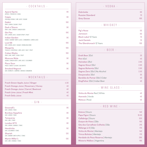#### · COCKTAILS ·

| <b>Aperol Spritz</b><br>APEROL   PROSECCO   SODA                     | 9€  |
|----------------------------------------------------------------------|-----|
| Caipis<br>CACHAÇA/VODKA   LIME JUICE   SUGAR                         | 9€  |
| Daikiri<br>RUM   LEMON   SUGAR   FRUIT                               | 10€ |
| Dark n'Storm<br>RUM   LIME   GINGER   GINGER BEER                    | 9€  |
| <b>Gin Fizz</b><br>GIN   LEMON JUICE   SUGAR SYRUP   FRUIT           | 10€ |
| Indian Garden<br>VODKA   GRANNY SMITH JUICE   CINNAMON   LEMON JUICE | 9€  |
| Lost 56<br>GIN   LEMON JUICE   SUGAR   SPARKLING WINE                | 10€ |
| Margarita<br>TEQUILA   COINTREAU   LIME JUICE   SALT   FRUIT         | 10€ |
| <b>Cuban Mojito</b><br>RUM   LIME   MINT   SODA   FRUIT              | 10€ |
| <b>Moscow Mule</b><br>VODKA   GINGER BEER   LIME JUICE   CUCUMBER    | 9€  |
| <b>Pisco Sour</b><br>PISCO   SWEET & SOUR   EGG WHITE                | 9€  |
| <b>Smoked Negroni</b><br>GIN   VERMUTE   CAMPARI   SMOKED CINNAMON   | 9€  |

## · MOCKTAILS ·

| Fresh Green Apple Juice   Ginger       | 4.5f |
|----------------------------------------|------|
| Fresh Orange Juice   Rosemary   Honey  | 4€   |
| Fresh Orange Juice   Carrot   Beetroot | 4€   |
| <b>Fresh Lime Juice   Fresh Mint</b>   | 4€   |
| <b>Fresh Daily Juice</b>               | 4€,  |

#### $\cdot$  GIN  $\cdot$

| Greenall's<br>GIN   LEMON   TONIC                  | 8E  |
|----------------------------------------------------|-----|
| <b>Bombay Sapphire</b><br>GIN   LEMON   TONIC      | 8E  |
| <b>Tangueray</b><br>GIN   LIME   TONIC             | 8€  |
| London Nº3<br>GIN   LEMON   ORANGE   TONIC         | 8€  |
| <b>Hendricks</b><br>GIN   CUCUMBER   TONIC         | 11€ |
| <b>Sharish</b><br>GIN   GRANNY SMITH APPLE   TONIC | 12€ |
| Martin Miller's<br>GIN   LIME   ORANGE   TONIC     | 13€ |

#### · VODKA ·

| 6€            |
|---------------|
| 7€.           |
| 10 $\epsilon$ |
|               |

#### · WHISKEY ·

| Pig's Nose                  | 5€  |
|-----------------------------|-----|
| Jameson                     | 6€  |
| <b>Black Label 12 Years</b> | 7€. |
| <b>Jack Daniels</b>         | 7€. |
| The Glendronach 12 Years    | 13E |

#### · BEER ·

| <b>Draft Beer 20cl</b>        | 2E   |
|-------------------------------|------|
| Pint 40cl                     | 4E   |
| Heineken 25cl                 | 2.6E |
| <b>Sagres Stout 33cl</b>      | 2.6E |
| Sagres Bohemia 33cl           | 2.6E |
| Sagres Zero 33cl   No Alcohol | 2.5E |
| Desperados 33cl               | 3E   |
| Bandida do Pomar 33cl   Cider | 4E   |
| KingFisher 33cl   Indian Beer | 4€   |
|                               |      |

#### · WINE GLASS ·

| Vinha do Monte Red   White | 4€. |
|----------------------------|-----|
| Azevedo   Verde            | 4€. |
| Mateus   Rosé              | 4€. |

#### · RED WINE ·

| Esteva   Douro                     | 14€   |
|------------------------------------|-------|
| Papa Figos   Douro                 | 18.5€ |
| Callabriga   Douro                 | 32E   |
| Duque de Viseu   Dão               | 15€   |
| Qta dos Carvalhais Colheita   Dão  | 21E   |
| Mélange à 3   Dão                  | 17E   |
| Vinha do Monte   Alentejo          | 14E   |
| Trinca Bolotas   Alentejo          | 17E   |
| Herdade do Peso Reserva   Alentejo | 29€   |
| Misterio Malbec   Argentina        | 19€   |